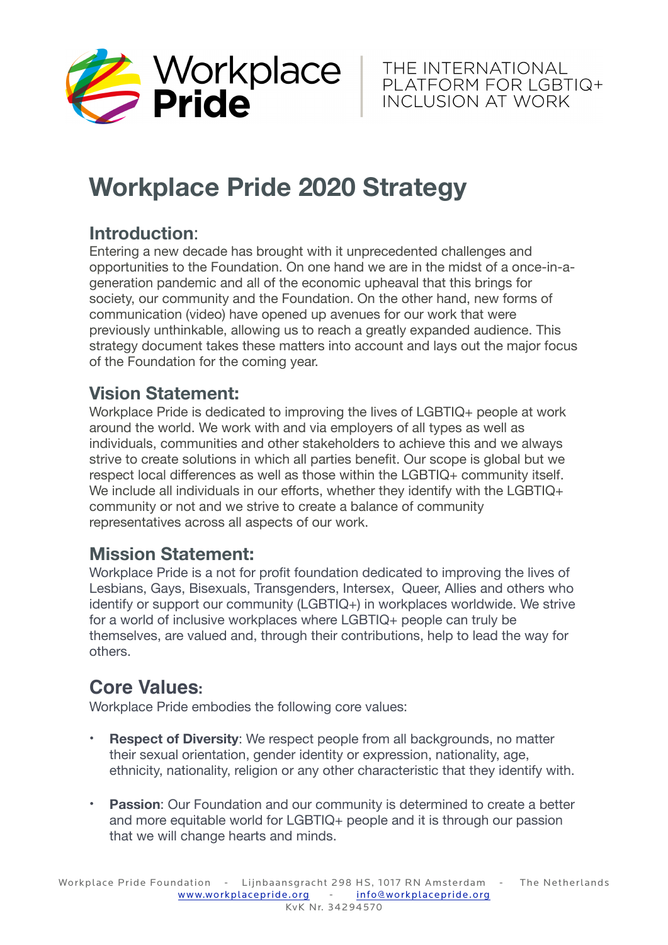

# **Workplace Pride 2020 Strategy**

### **Introduction**:

Entering a new decade has brought with it unprecedented challenges and opportunities to the Foundation. On one hand we are in the midst of a once-in-ageneration pandemic and all of the economic upheaval that this brings for society, our community and the Foundation. On the other hand, new forms of communication (video) have opened up avenues for our work that were previously unthinkable, allowing us to reach a greatly expanded audience. This strategy document takes these matters into account and lays out the major focus of the Foundation for the coming year.

#### **Vision Statement:**

Workplace Pride is dedicated to improving the lives of LGBTIQ+ people at work around the world. We work with and via employers of all types as well as individuals, communities and other stakeholders to achieve this and we always strive to create solutions in which all parties benefit. Our scope is global but we respect local differences as well as those within the LGBTIQ+ community itself. We include all individuals in our efforts, whether they identify with the LGBTIQ+ community or not and we strive to create a balance of community representatives across all aspects of our work.

#### **Mission Statement:**

Workplace Pride is a not for profit foundation dedicated to improving the lives of Lesbians, Gays, Bisexuals, Transgenders, Intersex, Queer, Allies and others who identify or support our community (LGBTIQ+) in workplaces worldwide. We strive for a world of inclusive workplaces where LGBTIQ+ people can truly be themselves, are valued and, through their contributions, help to lead the way for others.

## **Core Values:**

Workplace Pride embodies the following core values:

- **Respect of Diversity:** We respect people from all backgrounds, no matter their sexual orientation, gender identity or expression, nationality, age, ethnicity, nationality, religion or any other characteristic that they identify with.
- **Passion**: Our Foundation and our community is determined to create a better and more equitable world for LGBTIQ+ people and it is through our passion that we will change hearts and minds.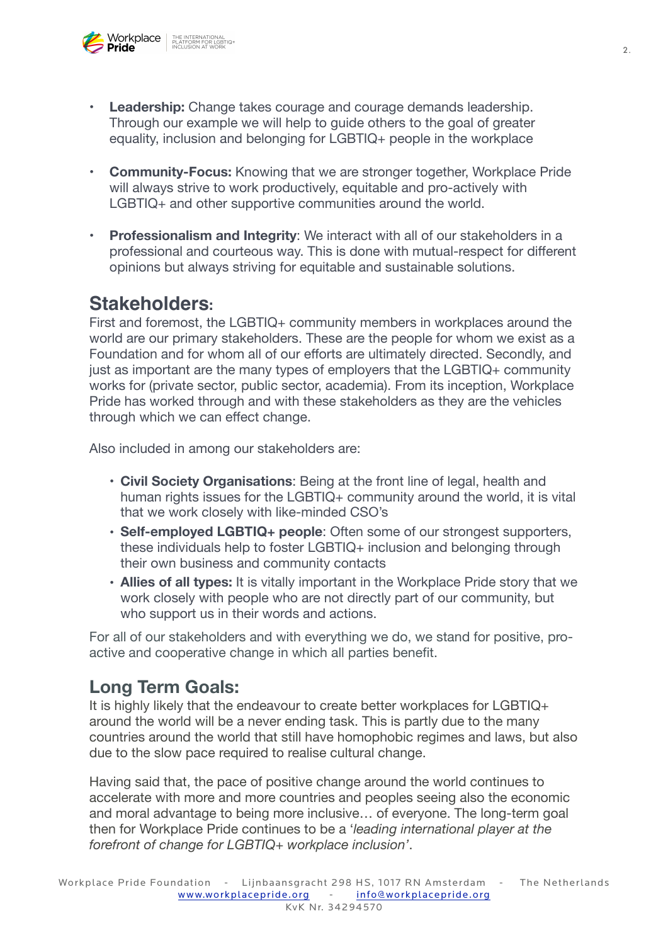

- **• Leadership:** Change takes courage and courage demands leadership. Through our example we will help to guide others to the goal of greater equality, inclusion and belonging for LGBTIQ+ people in the workplace
- **• Community-Focus:** Knowing that we are stronger together, Workplace Pride will always strive to work productively, equitable and pro-actively with LGBTIQ+ and other supportive communities around the world.
- **• Professionalism and Integrity**: We interact with all of our stakeholders in a professional and courteous way. This is done with mutual-respect for different opinions but always striving for equitable and sustainable solutions.

#### **Stakeholders:**

First and foremost, the LGBTIQ+ community members in workplaces around the world are our primary stakeholders. These are the people for whom we exist as a Foundation and for whom all of our efforts are ultimately directed. Secondly, and just as important are the many types of employers that the LGBTIQ+ community works for (private sector, public sector, academia). From its inception, Workplace Pride has worked through and with these stakeholders as they are the vehicles through which we can effect change.

Also included in among our stakeholders are:

- **Civil Society Organisations**: Being at the front line of legal, health and human rights issues for the LGBTIQ+ community around the world, it is vital that we work closely with like-minded CSO's
- **Self-employed LGBTIQ+ people**: Often some of our strongest supporters, these individuals help to foster LGBTIQ+ inclusion and belonging through their own business and community contacts
- **Allies of all types:** It is vitally important in the Workplace Pride story that we work closely with people who are not directly part of our community, but who support us in their words and actions.

For all of our stakeholders and with everything we do, we stand for positive, proactive and cooperative change in which all parties benefit.

#### **Long Term Goals:**

It is highly likely that the endeavour to create better workplaces for LGBTIQ+ around the world will be a never ending task. This is partly due to the many countries around the world that still have homophobic regimes and laws, but also due to the slow pace required to realise cultural change.

Having said that, the pace of positive change around the world continues to accelerate with more and more countries and peoples seeing also the economic and moral advantage to being more inclusive… of everyone. The long-term goal then for Workplace Pride continues to be a '*leading international player at the forefront of change for LGBTIQ+ workplace inclusion'*.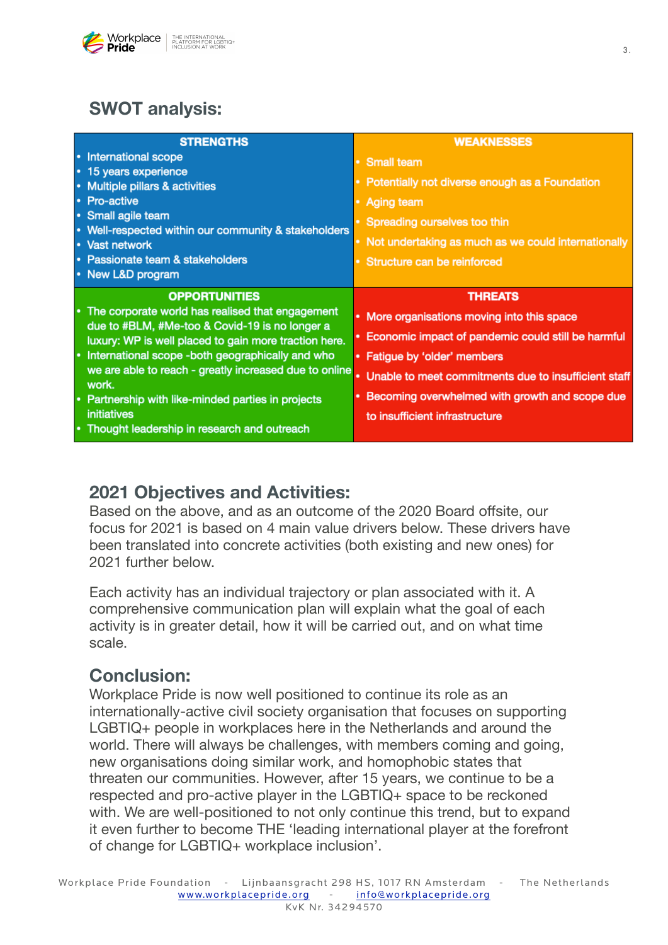

#### **SWOT analysis:**

|           | <b>STRENGTHS</b>                                                | <b>WEAKNESSES</b>                                     |
|-----------|-----------------------------------------------------------------|-------------------------------------------------------|
| $\bullet$ | <b>International scope</b>                                      | • Small team                                          |
| ٠         | 15 years experience                                             |                                                       |
| ×         | Multiple pillars & activities                                   | • Potentially not diverse enough as a Foundation      |
| $\bullet$ | <b>Pro-active</b>                                               | • Aging team                                          |
| ٠         | Small agile team                                                | • Spreading ourselves too thin                        |
|           | Well-respected within our community & stakeholders              |                                                       |
|           | • Vast network                                                  | • Not undertaking as much as we could internationally |
|           | • Passionate team & stakeholders                                | • Structure can be reinforced                         |
|           | • New L&D program                                               |                                                       |
|           |                                                                 |                                                       |
|           | <b>OPPORTUNITIES</b>                                            | <b>THREATS</b>                                        |
|           | The corporate world has realised that engagement                |                                                       |
|           | due to #BLM, #Me-too & Covid-19 is no longer a                  | • More organisations moving into this space           |
|           | luxury: WP is well placed to gain more traction here.           | • Economic impact of pandemic could still be harmful  |
| ٠         | International scope -both geographically and who                | • Fatigue by 'older' members                          |
|           | we are able to reach - greatly increased due to online<br>work. | Unable to meet commitments due to insufficient staff  |
| ٠         |                                                                 | • Becoming overwhelmed with growth and scope due      |
|           | Partnership with like-minded parties in projects<br>initiatives | to insufficient infrastructure                        |

#### **2021 Objectives and Activities:**

Based on the above, and as an outcome of the 2020 Board offsite, our focus for 2021 is based on 4 main value drivers below. These drivers have been translated into concrete activities (both existing and new ones) for 2021 further below.

Each activity has an individual trajectory or plan associated with it. A comprehensive communication plan will explain what the goal of each activity is in greater detail, how it will be carried out, and on what time scale.

#### **Conclusion:**

Workplace Pride is now well positioned to continue its role as an internationally-active civil society organisation that focuses on supporting LGBTIQ+ people in workplaces here in the Netherlands and around the world. There will always be challenges, with members coming and going, new organisations doing similar work, and homophobic states that threaten our communities. However, after 15 years, we continue to be a respected and pro-active player in the LGBTIQ+ space to be reckoned with. We are well-positioned to not only continue this trend, but to expand it even further to become THE 'leading international player at the forefront of change for LGBTIQ+ workplace inclusion'.